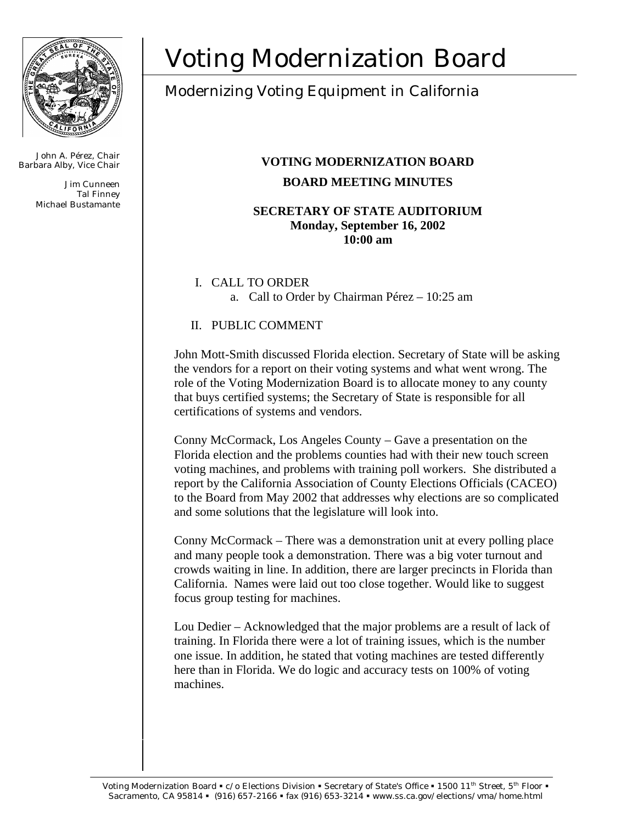

John A. Pérez, Chair Barbara Alby, Vice Chair

> Jim Cunneen Tal Finney Michael Bustamante

# Voting Modernization Board

# Modernizing Voting Equipment in California

# **VOTING MODERNIZATION BOARD BOARD MEETING MINUTES**

#### **SECRETARY OF STATE AUDITORIUM Monday, September 16, 2002 10:00 am**

# I. CALL TO ORDER a. Call to Order by Chairman Pérez – 10:25 am

# II. PUBLIC COMMENT

John Mott-Smith discussed Florida election. Secretary of State will be asking the vendors for a report on their voting systems and what went wrong. The role of the Voting Modernization Board is to allocate money to any county that buys certified systems; the Secretary of State is responsible for all certifications of systems and vendors.

Conny McCormack, Los Angeles County – Gave a presentation on the Florida election and the problems counties had with their new touch screen voting machines, and problems with training poll workers. She distributed a report by the California Association of County Elections Officials (CACEO) to the Board from May 2002 that addresses why elections are so complicated and some solutions that the legislature will look into.

Conny McCormack – There was a demonstration unit at every polling place and many people took a demonstration. There was a big voter turnout and crowds waiting in line. In addition, there are larger precincts in Florida than California. Names were laid out too close together. Would like to suggest focus group testing for machines.

Lou Dedier – Acknowledged that the major problems are a result of lack of training. In Florida there were a lot of training issues, which is the number one issue. In addition, he stated that voting machines are tested differently here than in Florida. We do logic and accuracy tests on 100% of voting machines.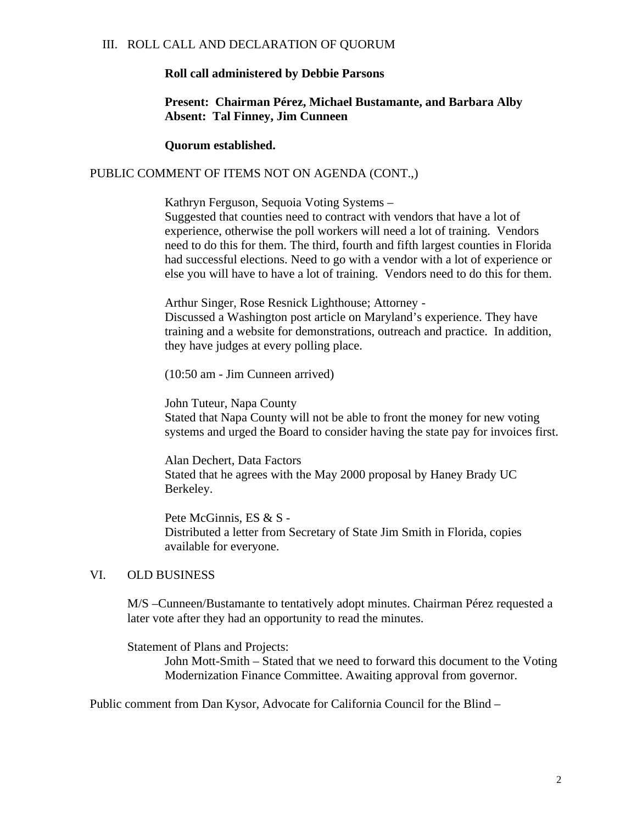#### III. ROLL CALL AND DECLARATION OF QUORUM

#### **Roll call administered by Debbie Parsons**

#### **Present: Chairman Pérez, Michael Bustamante, and Barbara Alby Absent: Tal Finney, Jim Cunneen**

**Quorum established.**

#### PUBLIC COMMENT OF ITEMS NOT ON AGENDA (CONT.,)

Kathryn Ferguson, Sequoia Voting Systems – Suggested that counties need to contract with vendors that have a lot of experience, otherwise the poll workers will need a lot of training. Vendors need to do this for them. The third, fourth and fifth largest counties in Florida had successful elections. Need to go with a vendor with a lot of experience or else you will have to have a lot of training. Vendors need to do this for them.

Arthur Singer, Rose Resnick Lighthouse; Attorney - Discussed a Washington post article on Maryland's experience. They have training and a website for demonstrations, outreach and practice. In addition, they have judges at every polling place.

(10:50 am - Jim Cunneen arrived)

John Tuteur, Napa County Stated that Napa County will not be able to front the money for new voting systems and urged the Board to consider having the state pay for invoices first.

Alan Dechert, Data Factors Stated that he agrees with the May 2000 proposal by Haney Brady UC Berkeley.

Pete McGinnis, ES & S - Distributed a letter from Secretary of State Jim Smith in Florida, copies available for everyone.

#### VI. OLD BUSINESS

M/S –Cunneen/Bustamante to tentatively adopt minutes. Chairman Pérez requested a later vote after they had an opportunity to read the minutes.

Statement of Plans and Projects:

John Mott-Smith – Stated that we need to forward this document to the Voting Modernization Finance Committee. Awaiting approval from governor.

Public comment from Dan Kysor, Advocate for California Council for the Blind –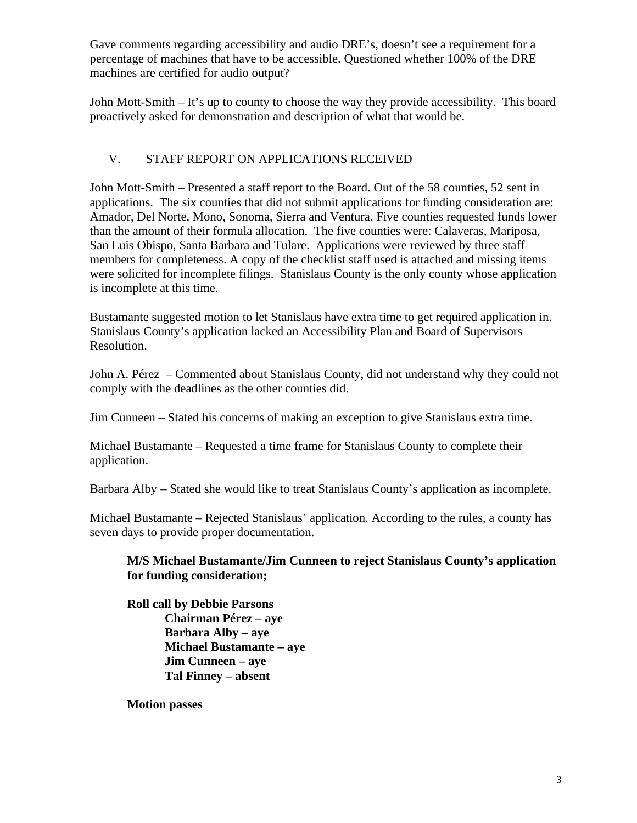Gave comments regarding accessibility and audio DRE's, doesn't see a requirement for a percentage of machines that have to be accessible. Questioned whether 100% of the DRE machines are certified for audio output?

John Mott-Smith – It's up to county to choose the way they provide accessibility. This board proactively asked for demonstration and description of what that would be.

# V. STAFF REPORT ON APPLICATIONS RECEIVED

John Mott-Smith – Presented a staff report to the Board. Out of the 58 counties, 52 sent in applications. The six counties that did not submit applications for funding consideration are: Amador, Del Norte, Mono, Sonoma, Sierra and Ventura. Five counties requested funds lower than the amount of their formula allocation. The five counties were: Calaveras, Mariposa, San Luis Obispo, Santa Barbara and Tulare. Applications were reviewed by three staff members for completeness. A copy of the checklist staff used is attached and missing items were solicited for incomplete filings. Stanislaus County is the only county whose application is incomplete at this time.

Bustamante suggested motion to let Stanislaus have extra time to get required application in. Stanislaus County's application lacked an Accessibility Plan and Board of Supervisors Resolution.

John A. Pérez – Commented about Stanislaus County, did not understand why they could not comply with the deadlines as the other counties did.

Jim Cunneen – Stated his concerns of making an exception to give Stanislaus extra time.

Michael Bustamante – Requested a time frame for Stanislaus County to complete their application.

Barbara Alby – Stated she would like to treat Stanislaus County's application as incomplete.

Michael Bustamante – Rejected Stanislaus' application. According to the rules, a county has seven days to provide proper documentation.

## **M/S Michael Bustamante/Jim Cunneen to reject Stanislaus County's application for funding consideration;**

**Roll call by Debbie Parsons Chairman Pérez – aye Barbara Alby – aye Michael Bustamante – aye Jim Cunneen – aye Tal Finney – absent**

**Motion passes**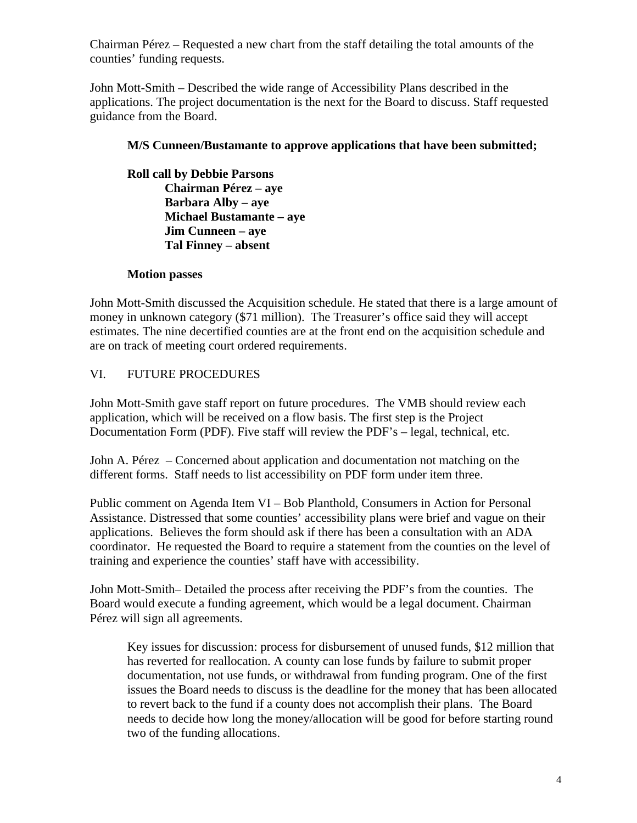Chairman Pérez – Requested a new chart from the staff detailing the total amounts of the counties' funding requests.

John Mott-Smith – Described the wide range of Accessibility Plans described in the applications. The project documentation is the next for the Board to discuss. Staff requested guidance from the Board.

## **M/S Cunneen/Bustamante to approve applications that have been submitted;**

**Roll call by Debbie Parsons Chairman Pérez – aye Barbara Alby – aye Michael Bustamante – aye Jim Cunneen – aye Tal Finney – absent**

## **Motion passes**

John Mott-Smith discussed the Acquisition schedule. He stated that there is a large amount of money in unknown category (\$71 million). The Treasurer's office said they will accept estimates. The nine decertified counties are at the front end on the acquisition schedule and are on track of meeting court ordered requirements.

# VI. FUTURE PROCEDURES

John Mott-Smith gave staff report on future procedures. The VMB should review each application, which will be received on a flow basis. The first step is the Project Documentation Form (PDF). Five staff will review the PDF's – legal, technical, etc.

John A. Pérez – Concerned about application and documentation not matching on the different forms. Staff needs to list accessibility on PDF form under item three.

Public comment on Agenda Item VI – Bob Planthold, Consumers in Action for Personal Assistance. Distressed that some counties' accessibility plans were brief and vague on their applications. Believes the form should ask if there has been a consultation with an ADA coordinator. He requested the Board to require a statement from the counties on the level of training and experience the counties' staff have with accessibility.

John Mott-Smith– Detailed the process after receiving the PDF's from the counties. The Board would execute a funding agreement, which would be a legal document. Chairman Pérez will sign all agreements.

Key issues for discussion: process for disbursement of unused funds, \$12 million that has reverted for reallocation. A county can lose funds by failure to submit proper documentation, not use funds, or withdrawal from funding program. One of the first issues the Board needs to discuss is the deadline for the money that has been allocated to revert back to the fund if a county does not accomplish their plans. The Board needs to decide how long the money/allocation will be good for before starting round two of the funding allocations.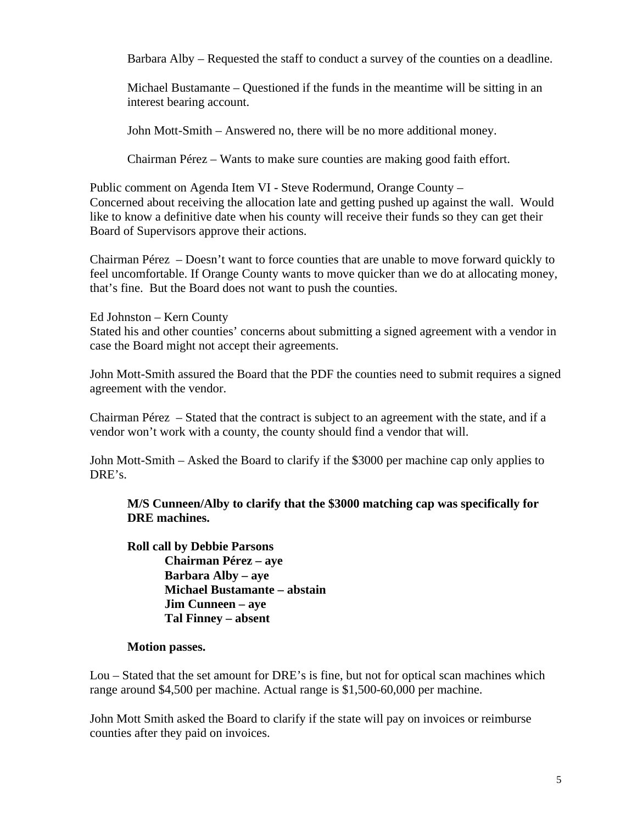Barbara Alby – Requested the staff to conduct a survey of the counties on a deadline.

Michael Bustamante – Questioned if the funds in the meantime will be sitting in an interest bearing account.

John Mott-Smith – Answered no, there will be no more additional money.

Chairman Pérez – Wants to make sure counties are making good faith effort.

Public comment on Agenda Item VI - Steve Rodermund, Orange County – Concerned about receiving the allocation late and getting pushed up against the wall. Would like to know a definitive date when his county will receive their funds so they can get their Board of Supervisors approve their actions.

Chairman Pérez – Doesn't want to force counties that are unable to move forward quickly to feel uncomfortable. If Orange County wants to move quicker than we do at allocating money, that's fine. But the Board does not want to push the counties.

Ed Johnston – Kern County

Stated his and other counties' concerns about submitting a signed agreement with a vendor in case the Board might not accept their agreements.

John Mott-Smith assured the Board that the PDF the counties need to submit requires a signed agreement with the vendor.

Chairman Pérez – Stated that the contract is subject to an agreement with the state, and if a vendor won't work with a county, the county should find a vendor that will.

John Mott-Smith – Asked the Board to clarify if the \$3000 per machine cap only applies to DRE's.

**M/S Cunneen/Alby to clarify that the \$3000 matching cap was specifically for DRE machines.**

**Roll call by Debbie Parsons Chairman Pérez – aye Barbara Alby – aye Michael Bustamante – abstain Jim Cunneen – aye Tal Finney – absent**

#### **Motion passes.**

Lou – Stated that the set amount for DRE's is fine, but not for optical scan machines which range around \$4,500 per machine. Actual range is \$1,500-60,000 per machine.

John Mott Smith asked the Board to clarify if the state will pay on invoices or reimburse counties after they paid on invoices.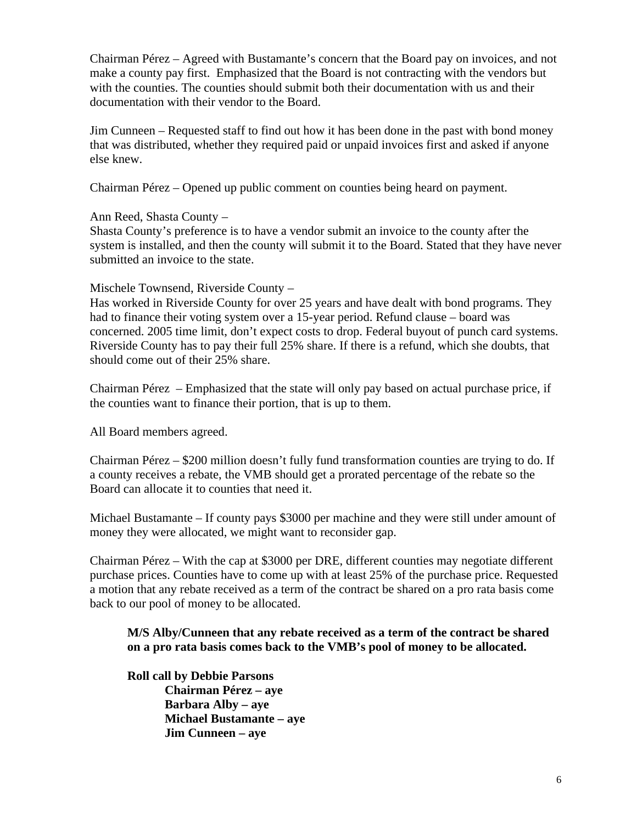Chairman Pérez – Agreed with Bustamante's concern that the Board pay on invoices, and not make a county pay first. Emphasized that the Board is not contracting with the vendors but with the counties. The counties should submit both their documentation with us and their documentation with their vendor to the Board.

Jim Cunneen – Requested staff to find out how it has been done in the past with bond money that was distributed, whether they required paid or unpaid invoices first and asked if anyone else knew.

Chairman Pérez – Opened up public comment on counties being heard on payment.

Ann Reed, Shasta County –

Shasta County's preference is to have a vendor submit an invoice to the county after the system is installed, and then the county will submit it to the Board. Stated that they have never submitted an invoice to the state.

#### Mischele Townsend, Riverside County –

Has worked in Riverside County for over 25 years and have dealt with bond programs. They had to finance their voting system over a 15-year period. Refund clause – board was concerned. 2005 time limit, don't expect costs to drop. Federal buyout of punch card systems. Riverside County has to pay their full 25% share. If there is a refund, which she doubts, that should come out of their 25% share.

Chairman Pérez – Emphasized that the state will only pay based on actual purchase price, if the counties want to finance their portion, that is up to them.

All Board members agreed.

Chairman Pérez – \$200 million doesn't fully fund transformation counties are trying to do. If a county receives a rebate, the VMB should get a prorated percentage of the rebate so the Board can allocate it to counties that need it.

Michael Bustamante – If county pays \$3000 per machine and they were still under amount of money they were allocated, we might want to reconsider gap.

Chairman Pérez – With the cap at \$3000 per DRE, different counties may negotiate different purchase prices. Counties have to come up with at least 25% of the purchase price. Requested a motion that any rebate received as a term of the contract be shared on a pro rata basis come back to our pool of money to be allocated.

**M/S Alby/Cunneen that any rebate received as a term of the contract be shared on a pro rata basis comes back to the VMB's pool of money to be allocated.**

#### **Roll call by Debbie Parsons**

**Chairman Pérez – aye Barbara Alby – aye Michael Bustamante – aye Jim Cunneen – aye**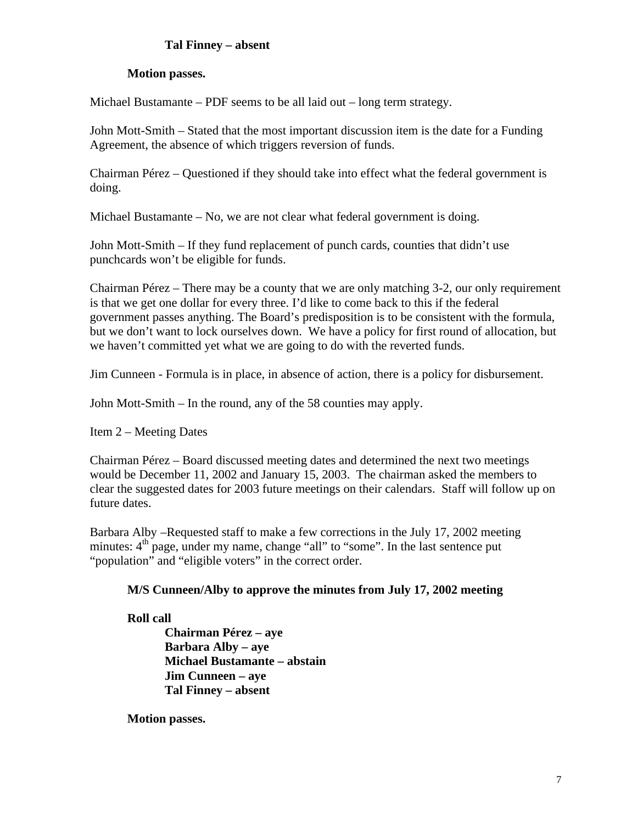# **Tal Finney – absent**

#### **Motion passes.**

Michael Bustamante – PDF seems to be all laid out – long term strategy.

John Mott-Smith – Stated that the most important discussion item is the date for a Funding Agreement, the absence of which triggers reversion of funds.

Chairman Pérez – Questioned if they should take into effect what the federal government is doing.

Michael Bustamante – No, we are not clear what federal government is doing.

John Mott-Smith – If they fund replacement of punch cards, counties that didn't use punchcards won't be eligible for funds.

Chairman Pérez – There may be a county that we are only matching 3-2, our only requirement is that we get one dollar for every three. I'd like to come back to this if the federal government passes anything. The Board's predisposition is to be consistent with the formula, but we don't want to lock ourselves down. We have a policy for first round of allocation, but we haven't committed yet what we are going to do with the reverted funds.

Jim Cunneen - Formula is in place, in absence of action, there is a policy for disbursement.

John Mott-Smith – In the round, any of the 58 counties may apply.

Item 2 – Meeting Dates

Chairman Pérez – Board discussed meeting dates and determined the next two meetings would be December 11, 2002 and January 15, 2003. The chairman asked the members to clear the suggested dates for 2003 future meetings on their calendars. Staff will follow up on future dates.

Barbara Alby –Requested staff to make a few corrections in the July 17, 2002 meeting minutes:  $4<sup>th</sup>$  page, under my name, change "all" to "some". In the last sentence put "population" and "eligible voters" in the correct order.

## **M/S Cunneen/Alby to approve the minutes from July 17, 2002 meeting**

## **Roll call**

**Chairman Pérez – aye Barbara Alby – aye Michael Bustamante – abstain Jim Cunneen – aye Tal Finney – absent**

**Motion passes.**